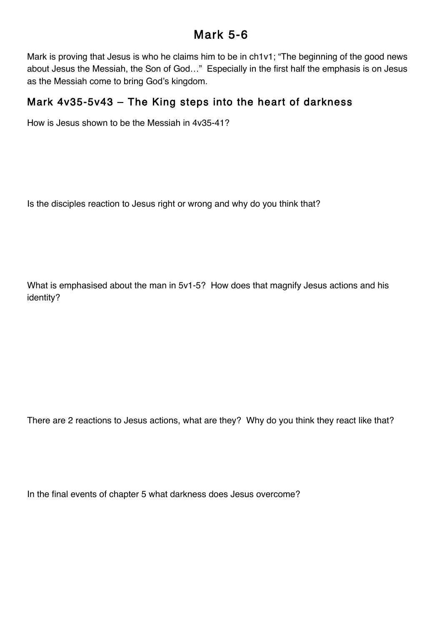## Mark 5-6

Mark is proving that Jesus is who he claims him to be in ch1v1; "The beginning of the good news about Jesus the Messiah, the Son of God…" Especially in the first half the emphasis is on Jesus as the Messiah come to bring God's kingdom.

## Mark 4v35-5v43 – The King steps into the heart of darkness

How is Jesus shown to be the Messiah in 4v35-41?

Is the disciples reaction to Jesus right or wrong and why do you think that?

What is emphasised about the man in 5v1-5? How does that magnify Jesus actions and his identity?

There are 2 reactions to Jesus actions, what are they? Why do you think they react like that?

In the final events of chapter 5 what darkness does Jesus overcome?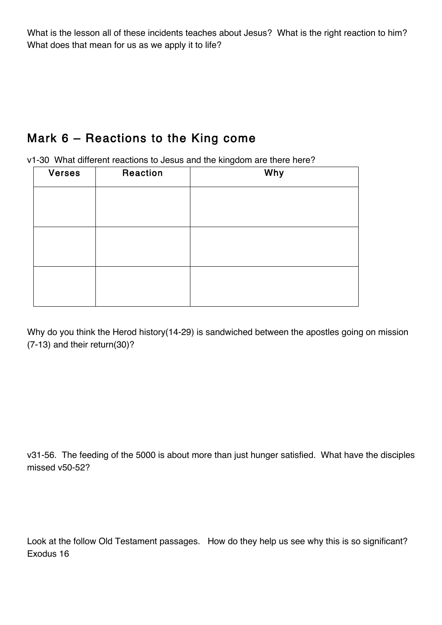What is the lesson all of these incidents teaches about Jesus? What is the right reaction to him? What does that mean for us as we apply it to life?

## Mark 6 – Reactions to the King come

v1-30 What different reactions to Jesus and the kingdom are there here?

| <b>Verses</b> | Reaction | Why |
|---------------|----------|-----|
|               |          |     |
|               |          |     |
|               |          |     |
|               |          |     |
|               |          |     |
|               |          |     |

Why do you think the Herod history(14-29) is sandwiched between the apostles going on mission (7-13) and their return(30)?

v31-56. The feeding of the 5000 is about more than just hunger satisfied. What have the disciples missed v50-52?

Look at the follow Old Testament passages. How do they help us see why this is so significant? Exodus 16